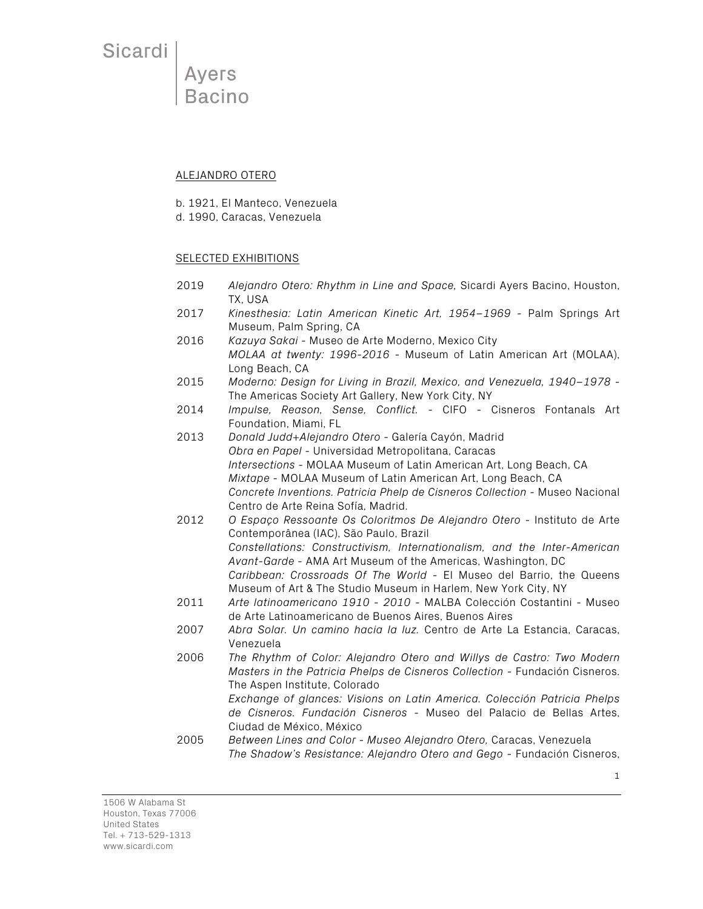**Ayers** Bacino

#### ALEJANDRO OTERO

b. 1921, El Manteco, Venezuela

d. 1990, Caracas, Venezuela

### SELECTED EXHIBITIONS

- 2019 *Alejandro Otero: Rhythm in Line and Space,* Sicardi Ayers Bacino, Houston, TX, USA
- 2017 *Kinesthesia: Latin American Kinetic Art, 1954–1969* Palm Springs Art Museum, Palm Spring, CA
- 2016 *Kazuya Sakai* Museo de Arte Moderno, Mexico City *MOLAA at twenty: 1996-2016* - Museum of Latin American Art (MOLAA), Long Beach, CA
- 2015 *Moderno: Design for Living in Brazil, Mexico, and Venezuela, 1940–1978* The Americas Society Art Gallery, New York City, NY
- 2014 *Impulse, Reason, Sense, Conflict.* CIFO Cisneros Fontanals Art Foundation, Miami, FL
- 2013 *Donald Judd+Alejandro Otero* Galería Cayón, Madrid *Obra en Papel* - Universidad Metropolitana, Caracas *Intersections* - MOLAA Museum of Latin American Art, Long Beach, CA *Mixtape* - MOLAA Museum of Latin American Art, Long Beach, CA *Concrete Inventions. Patricia Phelp de Cisneros Collection -* Museo Nacional Centro de Arte Reina Sofía, Madrid.
- 2012 *O Espaço Ressoante Os Coloritmos De Alejandro Otero*  Instituto de Arte Contemporânea (IAC), São Paulo, Brazil *Constellations: Constructivism, Internationalism, and the Inter-American Avant-Garde* - AMA Art Museum of the Americas, Washington, DC *Caribbean: Crossroads Of The World* - El Museo del Barrio, the Queens Museum of Art & The Studio Museum in Harlem, New York City, NY
- 2011 *Arte latinoamericano 1910 - 2010* MALBA Colección Costantini Museo de Arte Latinoamericano de Buenos Aires, Buenos Aires
- 2007 *Abra Solar. Un camino hacia la luz.* Centro de Arte La Estancia, Caracas, Venezuela
- 2006 *The Rhythm of Color: Alejandro Otero and Willys de Castro: Two Modern Masters in the Patricia Phelps de Cisneros Collection* - Fundación Cisneros. The Aspen Institute, Colorado

*Exchange of glances: Visions on Latin America. Colección Patricia Phelps de Cisneros. Fundación Cisneros* - Museo del Palacio de Bellas Artes, Ciudad de México, México

2005 *Between Lines and Color - Museo Alejandro Otero,* Caracas, Venezuela *The Shadow's Resistance: Alejandro Otero and Gego* - Fundación Cisneros,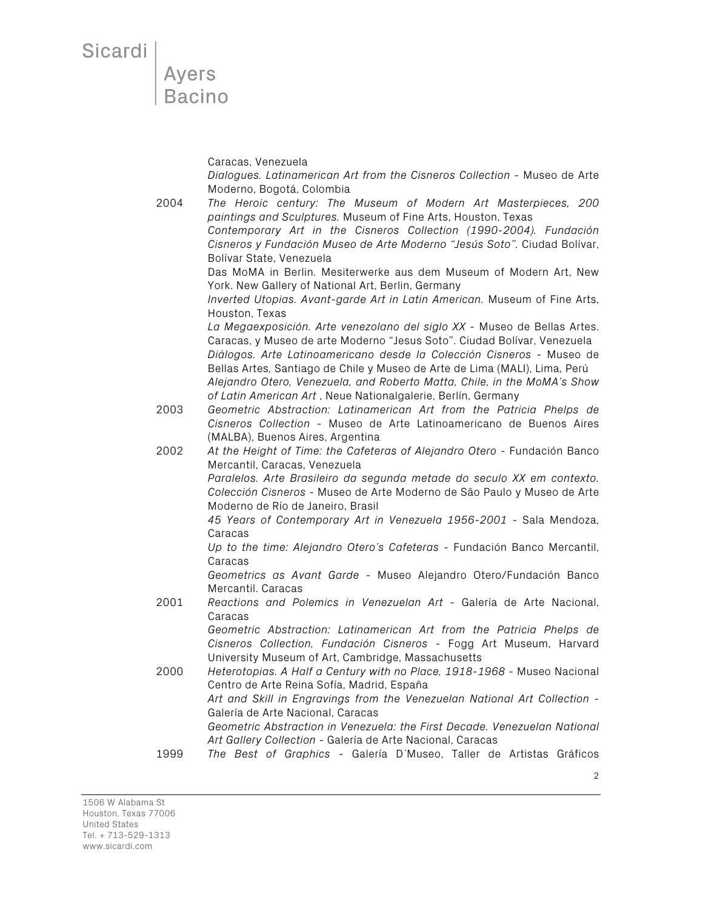Ayers<br>Bacino

Caracas, Venezuela *Dialogues. Latinamerican Art from the Cisneros Collection* - Museo de Arte Moderno, Bogotá, Colombia 2004 *The Heroic century: The Museum of Modern Art Masterpieces, 200 paintings and Sculptures.* Museum of Fine Arts, Houston, Texas *Contemporary Art in the Cisneros Collection (1990-2004). Fundación Cisneros y Fundación Museo de Arte Moderno "Jesús Soto".* Ciudad Bolívar, Bolívar State, Venezuela Das MoMA in Berlin. Mesiterwerke aus dem Museum of Modern Art, New York. New Gallery of National Art, Berlin, Germany *Inverted Utopias. Avant-garde Art in Latin American.* Museum of Fine Arts, Houston, Texas *La Megaexposición. Arte venezolano del siglo XX* - Museo de Bellas Artes. Caracas, y Museo de arte Moderno "Jesus Soto". Ciudad Bolívar, Venezuela *Diálogos. Arte Latinoamericano desde la Colección Cisneros* - Museo de Bellas Artes*,* Santiago de Chile y Museo de Arte de Lima (MALI), Lima, Perú *Alejandro Otero, Venezuela, and Roberto Matta, Chile, in the MoMA's Show of Latin American Art* , Neue Nationalgalerie, Berlín, Germany 2003 *Geometric Abstraction: Latinamerican Art from the Patricia Phelps de Cisneros Collection* - Museo de Arte Latinoamericano de Buenos Aires (MALBA), Buenos Aires, Argentina 2002 *At the Height of Time: the Cafeteras of Alejandro Otero* - Fundación Banco Mercantil, Caracas, Venezuela *Paralelos. Arte Brasileiro da segunda metade do seculo XX em contexto. Colección Cisneros* - Museo de Arte Moderno de São Paulo y Museo de Arte Moderno de Río de Janeiro, Brasil *45 Years of Contemporary Art in Venezuela 1956-2001* - Sala Mendoza, Caracas *Up to the time: Alejandro Otero's Cafeteras* - Fundación Banco Mercantil, Caracas *Geometrics as Avant Garde* - Museo Alejandro Otero/Fundación Banco Mercantil. Caracas 2001 *Reactions and Polemics in Venezuelan Art* - Galería de Arte Nacional, Caracas *Geometric Abstraction: Latinamerican Art from the Patricia Phelps de Cisneros Collection, Fundación Cisneros* - Fogg Art Museum, Harvard University Museum of Art, Cambridge, Massachusetts 2000 *Heterotopias. A Half a Century with no Place, 1918-1968* - Museo Nacional Centro de Arte Reina Sofía, Madrid, España *Art and Skill in Engravings from the Venezuelan National Art Collection* - Galería de Arte Nacional, Caracas *Geometric Abstraction in Venezuela: the First Decade. Venezuelan National Art Gallery Collection* - Galería de Arte Nacional, Caracas 1999 *The Best of Graphics* - Galería D´Museo, Taller de Artistas Gráficos

2

1506 W Alabama St Houston, Texas 77006 United States Tel. + 713-529-1313 www.sicardi.com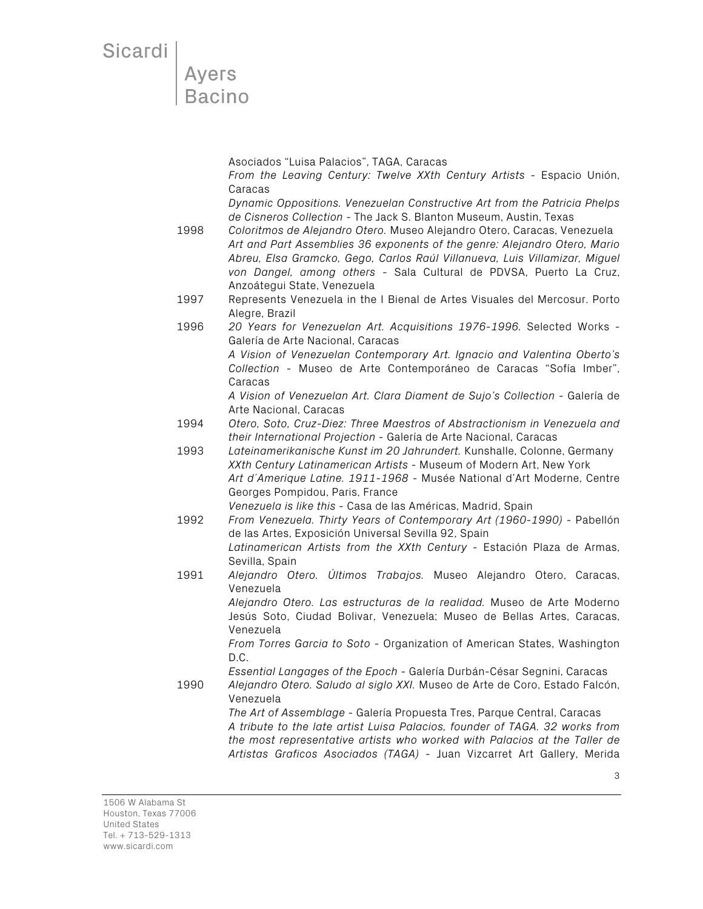Asociados "Luisa Palacios", TAGA, Caracas

*From the Leaving Century: Twelve XXth Century Artists* - Espacio Unión, Caracas

*Dynamic Oppositions. Venezuelan Constructive Art from the Patricia Phelps de Cisneros Collection* - The Jack S. Blanton Museum, Austin, Texas

1998 *Coloritmos de Alejandro Otero.* Museo Alejandro Otero, Caracas, Venezuela *Art and Part Assemblies 36 exponents of the genre: Alejandro Otero, Mario Abreu, Elsa Gramcko, Gego, Carlos Raúl Villanueva, Luis Villamizar, Miguel von Dangel, among others* - Sala Cultural de PDVSA, Puerto La Cruz, Anzoátegui State, Venezuela

- 1997 Represents Venezuela in the I Bienal de Artes Visuales del Mercosur. Porto Alegre, Brazil
- 1996 *20 Years for Venezuelan Art. Acquisitions 1976-1996.* Selected Works Galería de Arte Nacional, Caracas

*A Vision of Venezuelan Contemporary Art. Ignacio and Valentina Oberto's Collection* - Museo de Arte Contemporáneo de Caracas "Sofía Imber", Caracas

*A Vision of Venezuelan Art. Clara Diament de Sujo's Collection* - Galería de Arte Nacional, Caracas

1994 *Otero, Soto, Cruz-Diez: Three Maestros of Abstractionism in Venezuela and their International Projection* - Galería de Arte Nacional, Caracas

1993 *Lateinamerikanische Kunst im 20 Jahrundert.* Kunshalle, Colonne, Germany *XXth Century Latinamerican Artists* - Museum of Modern Art, New York *Art d´Amerique Latine. 1911-1968* - Musée National d'Art Moderne, Centre Georges Pompidou, Paris, France

*Venezuela is like this* - Casa de las Américas, Madrid, Spain

- 1992 *From Venezuela. Thirty Years of Contemporary Art (1960-1990)* Pabellón de las Artes, Exposición Universal Sevilla 92, Spain *Latinamerican Artists from the XXth Century* - Estación Plaza de Armas, Sevilla, Spain
- 1991 *Alejandro Otero. Últimos Trabajos.* Museo Alejandro Otero, Caracas, Venezuela *Alejandro Otero. Las estructuras de la realidad.* Museo de Arte Moderno

Jesús Soto, Ciudad Bolivar, Venezuela; Museo de Bellas Artes, Caracas, Venezuela

*From Torres Garcia to Soto* - Organization of American States, Washington D.C.

*Essential Langages of the Epoch* - Galería Durbán-César Segnini, Caracas

1990 *Alejandro Otero. Saludo al siglo XXI.* Museo de Arte de Coro, Estado Falcón, Venezuela

*The Art of Assemblage* - Galería Propuesta Tres, Parque Central, Caracas *A tribute to the late artist Luisa Palacios, founder of TAGA. 32 works from the most representative artists who worked with Palacios at the Taller de Artistas Graficos Asociados (TAGA)* - Juan Vizcarret Art Gallery, Merida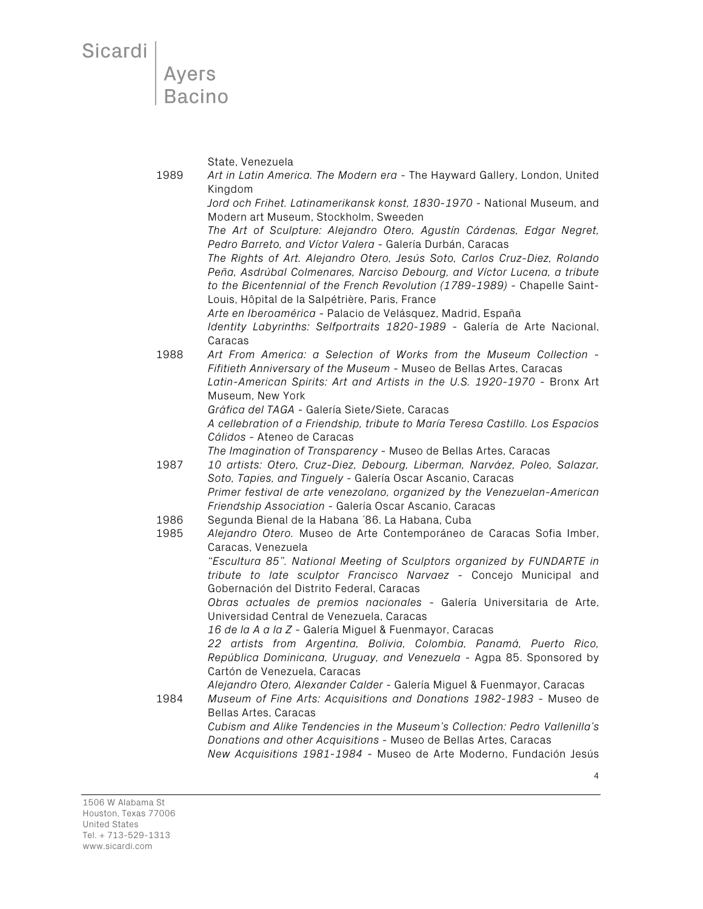Ayers **Bacino** 

State, Venezuela

1989 *Art in Latin America. The Modern era* - The Hayward Gallery, London, United Kingdom *Jord och Frihet. Latinamerikansk konst, 1830-1970* - National Museum, and Modern art Museum, Stockholm, Sweeden *The Art of Sculpture: Alejandro Otero, Agustín Cárdenas, Edgar Negret, Pedro Barreto, and Víctor Valera* - Galería Durbán, Caracas *The Rights of Art. Alejandro Otero, Jesús Soto, Carlos Cruz-Diez, Rolando Peña, Asdrúbal Colmenares, Narciso Debourg, and Víctor Lucena, a tribute to the Bicentennial of the French Revolution (1789-1989)* - Chapelle Saint-Louis, Hôpital de la Salpétrière, Paris, France *Arte en Iberoamérica* - Palacio de Velásquez, Madrid, España *Identity Labyrinths: Selfportraits 1820-1989* - Galería de Arte Nacional, Caracas 1988 *Art From America: a Selection of Works from the Museum Collection* - *Fifitieth Anniversary of the Museum* - Museo de Bellas Artes, Caracas *Latin-American Spirits: Art and Artists in the U.S. 1920-1970* - Bronx Art Museum, New York *Gráfica del TAGA* - Galería Siete/Siete, Caracas *A cellebration of a Friendship, tribute to María Teresa Castillo. Los Espacios Cálidos* - Ateneo de Caracas *The Imagination of Transparency* - Museo de Bellas Artes, Caracas 1987 *10 artists: Otero, Cruz-Diez, Debourg, Liberman, Narváez, Poleo, Salazar, Soto, Tapies, and Tinguely -* Galería Oscar Ascanio, Caracas *Primer festival de arte venezolano, organized by the Venezuelan-American Friendship Association* - Galería Oscar Ascanio, Caracas 1986 Segunda Bienal de la Habana ´86. La Habana, Cuba 1985 *Alejandro Otero.* Museo de Arte Contemporáneo de Caracas Sofia Imber, Caracas, Venezuela *"Escultura 85". National Meeting of Sculptors organized by FUNDARTE in tribute to late sculptor Francisco Narvaez* - Concejo Municipal and Gobernación del Distrito Federal, Caracas *Obras actuales de premios nacionales* - Galería Universitaria de Arte, Universidad Central de Venezuela, Caracas *16 de la A a la Z* - Galería Miguel & Fuenmayor, Caracas *22 artists from Argentina, Bolivia, Colombia, Panamá, Puerto Rico, República Dominicana, Uruguay, and Venezuela* - Agpa 85. Sponsored by Cartón de Venezuela, Caracas *Alejandro Otero, Alexander Calder* - Galería Miguel & Fuenmayor, Caracas 1984 *Museum of Fine Arts: Acquisitions and Donations 1982-1983* - Museo de Bellas Artes, Caracas *Cubism and Alike Tendencies in the Museum's Collection: Pedro Vallenilla's Donations and other Acquisitions* - Museo de Bellas Artes, Caracas *New Acquisitions 1981-1984* - Museo de Arte Moderno, Fundación Jesús

1506 W Alabama St Houston, Texas 77006 United States Tel. + 713-529-1313 www.sicardi.com

4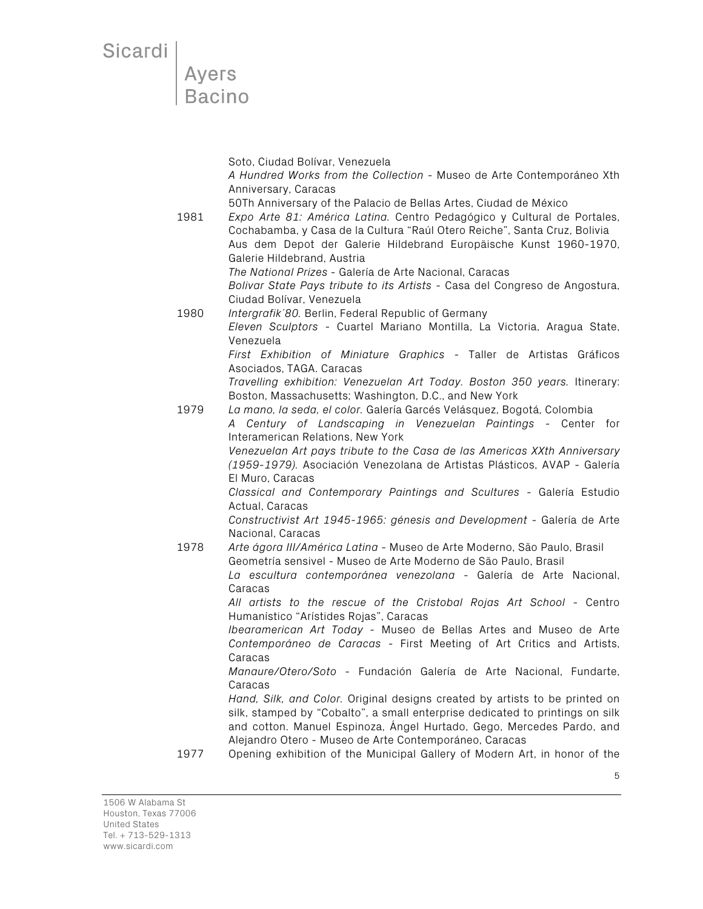Sicardi<br>Ayers<br>Bacino

|      | Soto, Ciudad Bolívar, Venezuela<br>A Hundred Works from the Collection - Museo de Arte Contemporáneo Xth                                                                                                                                                                                                                                              |
|------|-------------------------------------------------------------------------------------------------------------------------------------------------------------------------------------------------------------------------------------------------------------------------------------------------------------------------------------------------------|
| 1981 | Anniversary, Caracas<br>50Th Anniversary of the Palacio de Bellas Artes, Ciudad de México<br>Expo Arte 81: América Latina. Centro Pedagógico y Cultural de Portales,<br>Cochabamba, y Casa de la Cultura "Raúl Otero Reiche", Santa Cruz, Bolivia<br>Aus dem Depot der Galerie Hildebrand Europäische Kunst 1960-1970,<br>Galerie Hildebrand, Austria |
|      | The National Prizes - Galería de Arte Nacional, Caracas<br>Bolivar State Pays tribute to its Artists - Casa del Congreso de Angostura,<br>Ciudad Bolívar, Venezuela                                                                                                                                                                                   |
| 1980 | Intergrafik'80. Berlin, Federal Republic of Germany<br>Eleven Sculptors - Cuartel Mariano Montilla, La Victoria, Aragua State,<br>Venezuela                                                                                                                                                                                                           |
|      | First Exhibition of Miniature Graphics - Taller de Artistas Gráficos<br>Asociados, TAGA. Caracas                                                                                                                                                                                                                                                      |
| 1979 | Travelling exhibition: Venezuelan Art Today. Boston 350 years. Itinerary:<br>Boston, Massachusetts; Washington, D.C., and New York<br>La mano, la seda, el color. Galería Garcés Velásquez, Bogotá, Colombia<br>A Century of Landscaping in Venezuelan Paintings - Center for                                                                         |
|      | Interamerican Relations, New York<br>Venezuelan Art pays tribute to the Casa de las Americas XXth Anniversary<br>(1959-1979). Asociación Venezolana de Artistas Plásticos, AVAP - Galería<br>El Muro, Caracas                                                                                                                                         |
|      | Classical and Contemporary Paintings and Scultures - Galería Estudio<br>Actual, Caracas                                                                                                                                                                                                                                                               |
|      | Constructivist Art 1945-1965: génesis and Development - Galería de Arte<br>Nacional, Caracas                                                                                                                                                                                                                                                          |
| 1978 | Arte ágora III/América Latina - Museo de Arte Moderno, São Paulo, Brasil<br>Geometría sensivel - Museo de Arte Moderno de São Paulo, Brasil<br>La escultura contemporánea venezolana - Galería de Arte Nacional,<br>Caracas                                                                                                                           |
|      | All artists to the rescue of the Cristobal Rojas Art School - Centro                                                                                                                                                                                                                                                                                  |
|      | Humanístico "Arístides Rojas", Caracas<br>Ibearamerican Art Today - Museo de Bellas Artes and Museo de Arte<br>Contemporáneo de Caracas - First Meeting of Art Critics and Artists,                                                                                                                                                                   |
|      | Caracas<br>Manaure/Otero/Soto - Fundación Galería de Arte Nacional, Fundarte,<br>Caracas                                                                                                                                                                                                                                                              |
|      | Hand, Silk, and Color. Original designs created by artists to be printed on<br>silk, stamped by "Cobalto", a small enterprise dedicated to printings on silk<br>and cotton. Manuel Espinoza, Ángel Hurtado, Gego, Mercedes Pardo, and<br>Alejandro Otero - Museo de Arte Contemporáneo, Caracas                                                       |
| 1977 | Opening exhibition of the Municipal Gallery of Modern Art, in honor of the                                                                                                                                                                                                                                                                            |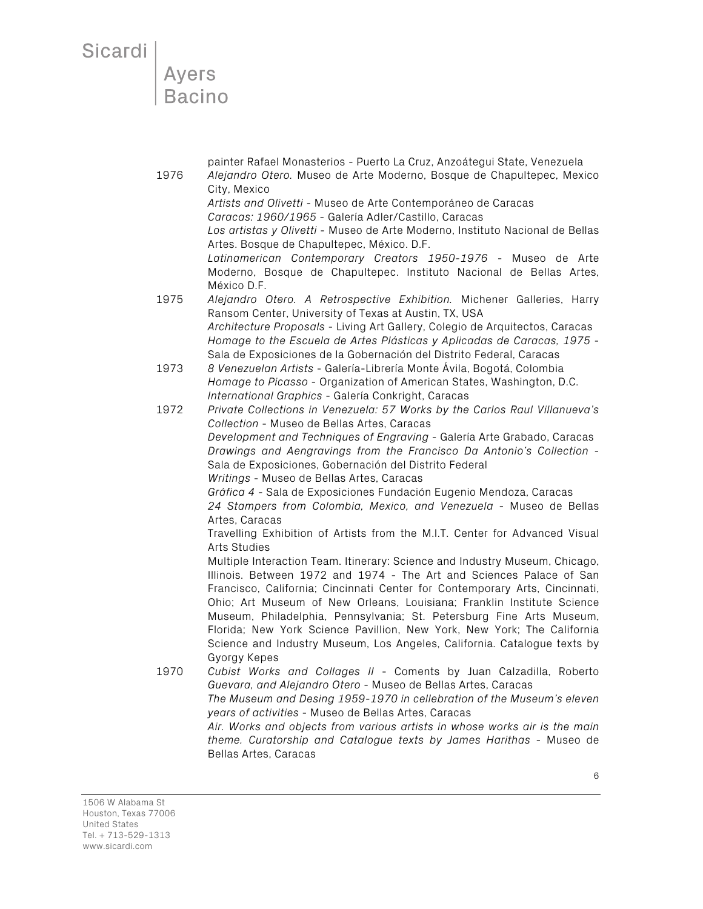painter Rafael Monasterios - Puerto La Cruz, Anzoátegui State, Venezuela 1976 *Alejandro Otero.* Museo de Arte Moderno, Bosque de Chapultepec, Mexico City, Mexico *Artists and Olivetti* - Museo de Arte Contemporáneo de Caracas *Caracas: 1960/1965 -* Galería Adler/Castillo, Caracas *Los artistas y Olivetti* - Museo de Arte Moderno, Instituto Nacional de Bellas Artes. Bosque de Chapultepec, México. D.F. *Latinamerican Contemporary Creators 1950-1976* - Museo de Arte Moderno, Bosque de Chapultepec. Instituto Nacional de Bellas Artes, México D.F. 1975 *Alejandro Otero. A Retrospective Exhibition.* Michener Galleries, Harry Ransom Center, University of Texas at Austin, TX, USA *Architecture Proposals* - Living Art Gallery, Colegio de Arquitectos, Caracas *Homage to the Escuela de Artes Plásticas y Aplicadas de Caracas, 1975* - Sala de Exposiciones de la Gobernación del Distrito Federal, Caracas 1973 *8 Venezuelan Artists* - Galería-Librería Monte Ávila, Bogotá, Colombia *Homage to Picasso* - Organization of American States, Washington, D.C. *International Graphics* - Galería Conkright, Caracas 1972 *Private Collections in Venezuela: 57 Works by the Carlos Raul Villanueva's Collection* - Museo de Bellas Artes, Caracas *Development and Techniques of Engraving* - Galería Arte Grabado, Caracas *Drawings and Aengravings from the Francisco Da Antonio's Collection* - Sala de Exposiciones, Gobernación del Distrito Federal *Writings* - Museo de Bellas Artes, Caracas *Gráfica 4* - Sala de Exposiciones Fundación Eugenio Mendoza, Caracas *24 Stampers from Colombia, Mexico, and Venezuela* - Museo de Bellas Artes, Caracas Travelling Exhibition of Artists from the M.I.T. Center for Advanced Visual Arts Studies Multiple Interaction Team. Itinerary: Science and Industry Museum, Chicago, Illinois. Between 1972 and 1974 - The Art and Sciences Palace of San Francisco, California; Cincinnati Center for Contemporary Arts, Cincinnati, Ohio; Art Museum of New Orleans, Louisiana; Franklin Institute Science Museum, Philadelphia, Pennsylvania; St. Petersburg Fine Arts Museum, Florida; New York Science Pavillion, New York, New York; The California Science and Industry Museum, Los Angeles, California. Catalogue texts by Gyorgy Kepes 1970 *Cubist Works and Collages II* - Coments by Juan Calzadilla, Roberto *Guevara, and Alejandro Otero* - Museo de Bellas Artes, Caracas *The Museum and Desing 1959-1970 in cellebration of the Museum's eleven years of activities* - Museo de Bellas Artes, Caracas *Air. Works and objects from various artists in whose works air is the main theme. Curatorship and Catalogue texts by James Harithas* - Museo de

1506 W Alabama St Houston, Texas 77006 United States Tel. + 713-529-1313 www.sicardi.com

Bellas Artes, Caracas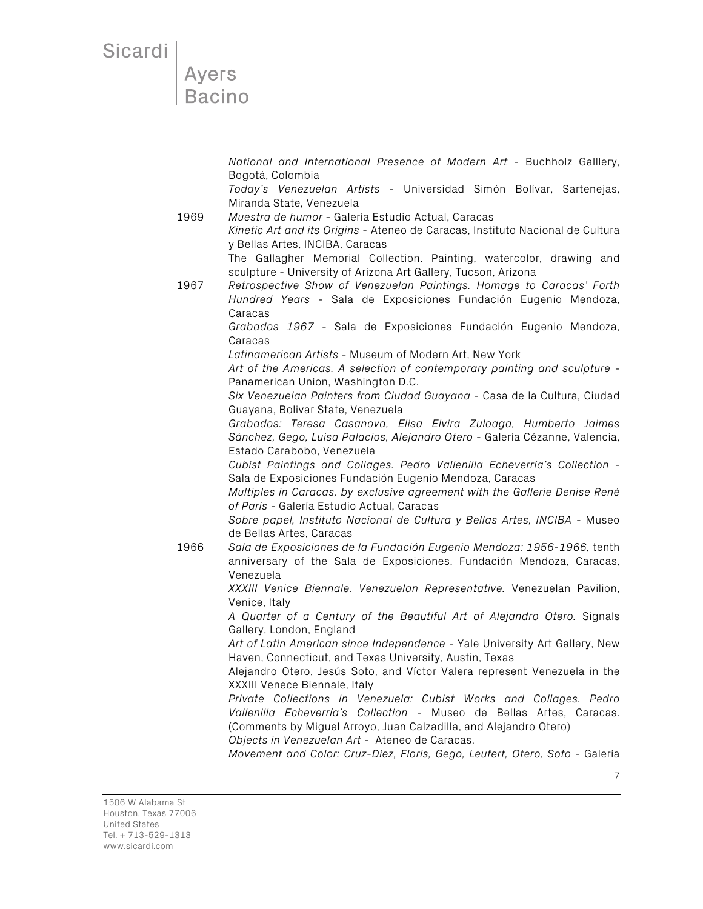Ayers<br>Bacino

*National and International Presence of Modern Art* - Buchholz Galllery, Bogotá, Colombia

*Today's Venezuelan Artists* - Universidad Simón Bolívar, Sartenejas, Miranda State, Venezuela

1969 *Muestra de humor* - Galería Estudio Actual, Caracas *Kinetic Art and its Origins* - Ateneo de Caracas, Instituto Nacional de Cultura y Bellas Artes, INCIBA, Caracas

The Gallagher Memorial Collection. Painting, watercolor, drawing and sculpture - University of Arizona Art Gallery, Tucson, Arizona

1967 *Retrospective Show of Venezuelan Paintings. Homage to Caracas' Forth Hundred Years* - Sala de Exposiciones Fundación Eugenio Mendoza, Caracas

*Grabados 1967* - Sala de Exposiciones Fundación Eugenio Mendoza, Caracas

*Latinamerican Artists* - Museum of Modern Art, New York

*Art of the Americas. A selection of contemporary painting and sculpture* - Panamerican Union, Washington D.C.

*Six Venezuelan Painters from Ciudad Guayana -* Casa de la Cultura, Ciudad Guayana, Bolivar State, Venezuela

*Grabados: Teresa Casanova, Elisa Elvira Zuloaga, Humberto Jaimes Sánchez, Gego, Luisa Palacios, Alejandro Otero* - Galería Cézanne, Valencia, Estado Carabobo, Venezuela

*Cubist Paintings and Collages. Pedro Vallenilla Echeverría's Collection* - Sala de Exposiciones Fundación Eugenio Mendoza, Caracas

*Multiples in Caracas, by exclusive agreement with the Gallerie Denise René of Paris* - Galería Estudio Actual, Caracas

*Sobre papel, Instituto Nacional de Cultura y Bellas Artes, INCIBA* - Museo de Bellas Artes, Caracas

1966 *Sala de Exposiciones de la Fundación Eugenio Mendoza: 1956-1966,* tenth anniversary of the Sala de Exposiciones. Fundación Mendoza, Caracas, Venezuela

> *XXXIII Venice Biennale. Venezuelan Representative.* Venezuelan Pavilion, Venice, Italy

> *A Quarter of a Century of the Beautiful Art of Alejandro Otero.* Signals Gallery, London, England

> *Art of Latin American since Independence* - Yale University Art Gallery, New Haven, Connecticut, and Texas University, Austin, Texas

> Alejandro Otero, Jesús Soto, and Víctor Valera represent Venezuela in the XXXIII Venece Biennale, Italy

> *Private Collections in Venezuela: Cubist Works and Collages. Pedro Vallenilla Echeverría's Collection* - Museo de Bellas Artes, Caracas. (Comments by Miguel Arroyo, Juan Calzadilla, and Alejandro Otero)

*Objects in Venezuelan Art* - Ateneo de Caracas.

*Movement and Color: Cruz-Diez, Floris, Gego, Leufert, Otero, Soto* - Galería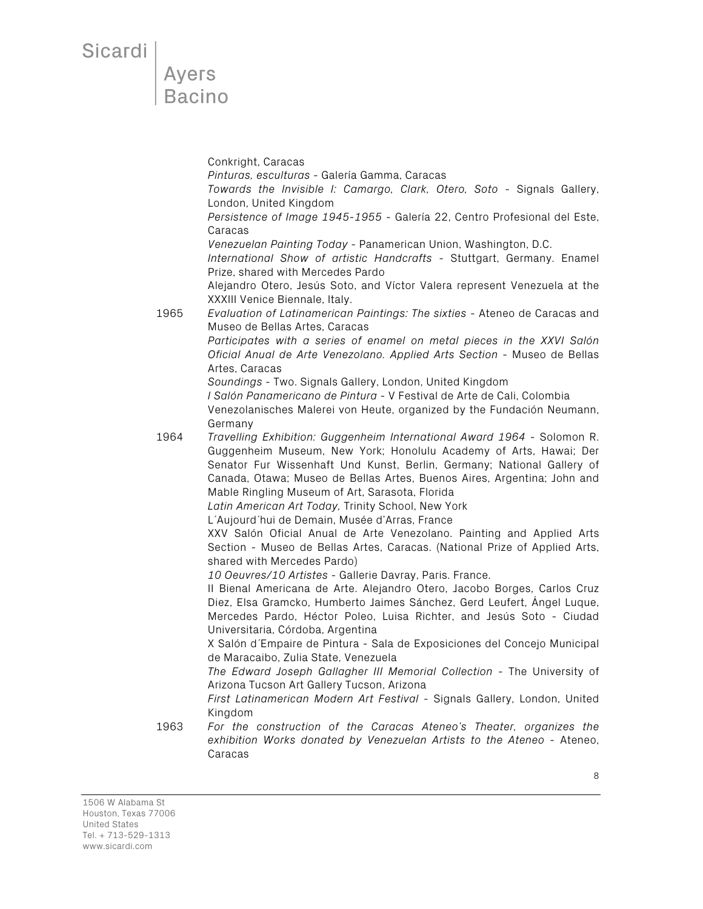Conkright, Caracas *Pinturas, esculturas* - Galería Gamma, Caracas *Towards the Invisible I: Camargo, Clark, Otero, Soto* - Signals Gallery, London, United Kingdom *Persistence of Image 1945-1955* - Galería 22, Centro Profesional del Este, Caracas *Venezuelan Painting Today* - Panamerican Union, Washington, D.C. *International Show of artistic Handcrafts* - Stuttgart, Germany. Enamel Prize, shared with Mercedes Pardo Alejandro Otero, Jesús Soto, and Víctor Valera represent Venezuela at the XXXIII Venice Biennale, Italy. 1965 *Evaluation of Latinamerican Paintings: The sixties* - Ateneo de Caracas and Museo de Bellas Artes, Caracas *Participates with a series of enamel on metal pieces in the XXVI Salón Oficial Anual de Arte Venezolano. Applied Arts Section* - Museo de Bellas Artes, Caracas *Soundings* - Two. Signals Gallery, London, United Kingdom *I Salón Panamericano de Pintura* - V Festival de Arte de Cali, Colombia Venezolanisches Malerei von Heute, organized by the Fundación Neumann, Germany 1964 *Travelling Exhibition: Guggenheim International Award 1964* - Solomon R. Guggenheim Museum, New York; Honolulu Academy of Arts, Hawai; Der Senator Fur Wissenhaft Und Kunst, Berlin, Germany; National Gallery of Canada, Otawa; Museo de Bellas Artes, Buenos Aires, Argentina; John and Mable Ringling Museum of Art, Sarasota, Florida *Latin American Art Today,* Trinity School, New York L´Aujourd´hui de Demain, Musée d'Arras, France XXV Salón Oficial Anual de Arte Venezolano. Painting and Applied Arts Section - Museo de Bellas Artes, Caracas. (National Prize of Applied Arts, shared with Mercedes Pardo) *10 Oeuvres/10 Artistes* - Gallerie Davray, Paris. France. II Bienal Americana de Arte. Alejandro Otero, Jacobo Borges, Carlos Cruz Diez, Elsa Gramcko, Humberto Jaimes Sánchez, Gerd Leufert, Ángel Luque, Mercedes Pardo, Héctor Poleo, Luisa Richter, and Jesús Soto - Ciudad Universitaria, Córdoba, Argentina X Salón d´Empaire de Pintura - Sala de Exposiciones del Concejo Municipal de Maracaibo, Zulia State, Venezuela *The Edward Joseph Gallagher III Memorial Collection* - The University of Arizona Tucson Art Gallery Tucson, Arizona *First Latinamerican Modern Art Festival* - Signals Gallery, London, United Kingdom 1963 *For the construction of the Caracas Ateneo's Theater, organizes the exhibition Works donated by Venezuelan Artists to the Ateneo* - Ateneo, Caracas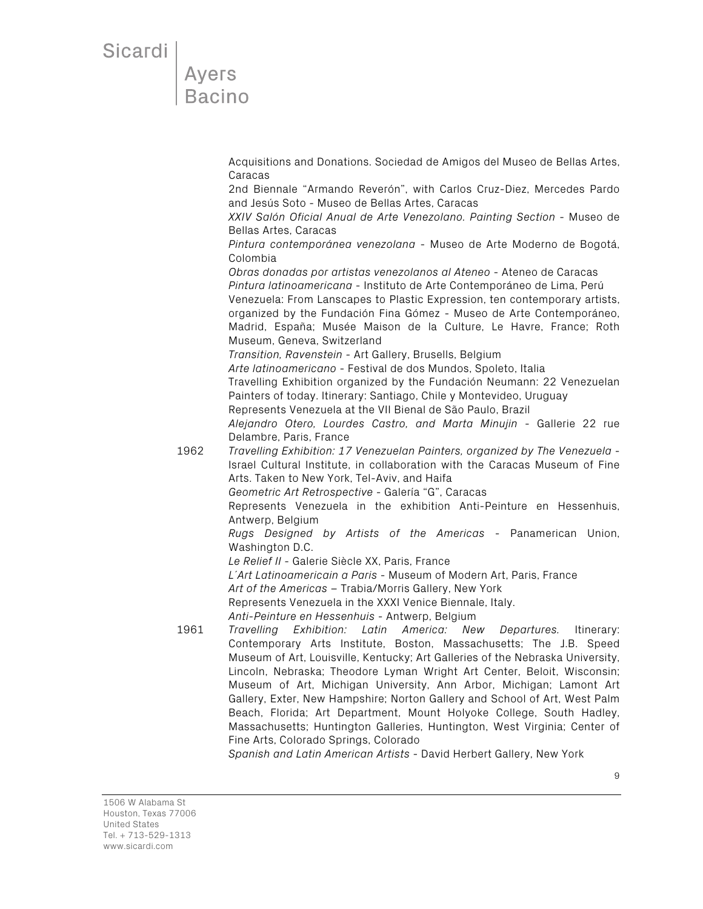# Ayers<br>Bacino

Acquisitions and Donations. Sociedad de Amigos del Museo de Bellas Artes, Caracas

2nd Biennale "Armando Reverón", with Carlos Cruz-Diez, Mercedes Pardo and Jesús Soto - Museo de Bellas Artes, Caracas

*XXIV Salón Oficial Anual de Arte Venezolano. Painting Section* - Museo de Bellas Artes, Caracas

*Pintura contemporánea venezolana* - Museo de Arte Moderno de Bogotá, Colombia

*Obras donadas por artistas venezolanos al Ateneo* - Ateneo de Caracas *Pintura latinoamericana* - Instituto de Arte Contemporáneo de Lima, Perú

Venezuela: From Lanscapes to Plastic Expression, ten contemporary artists, organized by the Fundación Fina Gómez - Museo de Arte Contemporáneo, Madrid, España; Musée Maison de la Culture, Le Havre, France; Roth Museum, Geneva, Switzerland

*Transition, Ravenstein -* Art Gallery, Brusells, Belgium *Arte latinoamericano* - Festival de dos Mundos, Spoleto, Italia Travelling Exhibition organized by the Fundación Neumann: 22 Venezuelan Painters of today. Itinerary: Santiago, Chile y Montevideo, Uruguay Represents Venezuela at the VII Bienal de São Paulo, Brazil *Alejandro Otero, Lourdes Castro, and Marta Minujin* - Gallerie 22 rue

Delambre, Paris, France 1962 *Travelling Exhibition: 17 Venezuelan Painters, organized by The Venezuela* - Israel Cultural Institute, in collaboration with the Caracas Museum of Fine Arts. Taken to New York, Tel-Aviv, and Haifa

*Geometric Art Retrospective* - Galería "G", Caracas

Represents Venezuela in the exhibition Anti-Peinture en Hessenhuis, Antwerp, Belgium

*Rugs Designed by Artists of the Americas* - Panamerican Union, Washington D.C.

*Le Relief II* - Galerie Siècle XX, Paris, France

*L´Art Latinoamericain a Paris* - Museum of Modern Art, Paris, France

*Art of the Americas* – Trabia/Morris Gallery, New York

Represents Venezuela in the XXXI Venice Biennale, Italy.

*Anti-Peinture en Hessenhuis* - Antwerp, Belgium

1961 *Travelling Exhibition: Latin America: New Departures.* Itinerary: Contemporary Arts Institute, Boston, Massachusetts; The J.B. Speed Museum of Art, Louisville, Kentucky; Art Galleries of the Nebraska University, Lincoln, Nebraska; Theodore Lyman Wright Art Center, Beloit, Wisconsin; Museum of Art, Michigan University, Ann Arbor, Michigan; Lamont Art Gallery, Exter, New Hampshire; Norton Gallery and School of Art, West Palm Beach, Florida; Art Department, Mount Holyoke College, South Hadley, Massachusetts; Huntington Galleries, Huntington, West Virginia; Center of Fine Arts, Colorado Springs, Colorado

*Spanish and Latin American Artists* - David Herbert Gallery, New York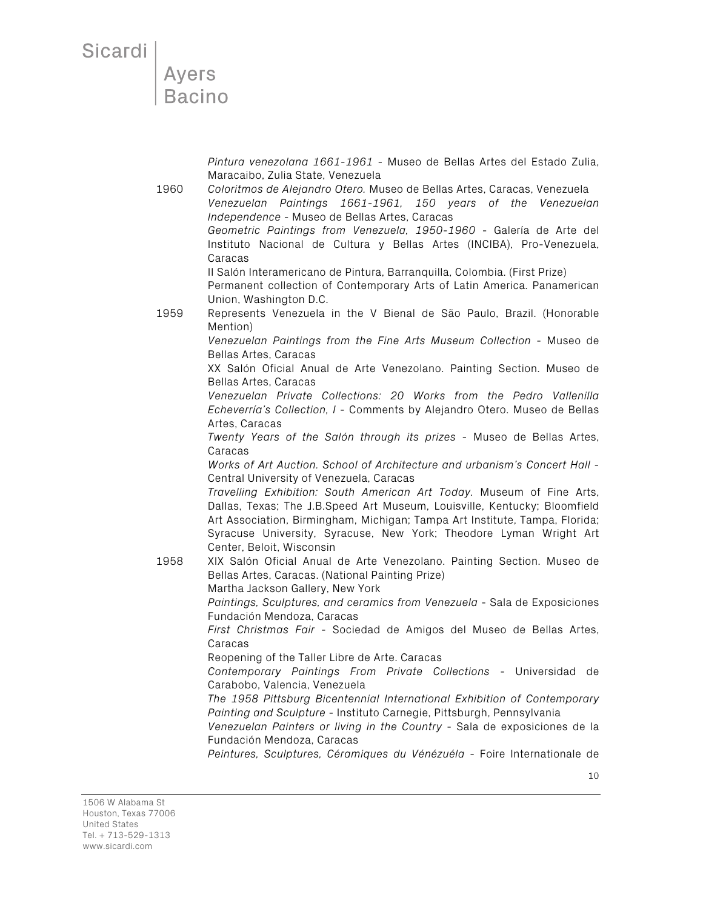Sicardi |

*Pintura venezolana 1661-1961* - Museo de Bellas Artes del Estado Zulia, Maracaibo, Zulia State, Venezuela

1960 *Coloritmos de Alejandro Otero.* Museo de Bellas Artes, Caracas, Venezuela *Venezuelan Paintings 1661-1961, 150 years of the Venezuelan Independence* - Museo de Bellas Artes, Caracas *Geometric Paintings from Venezuela, 1950-1960* - Galería de Arte del Instituto Nacional de Cultura y Bellas Artes (INCIBA), Pro-Venezuela, Caracas II Salón Interamericano de Pintura, Barranquilla, Colombia. (First Prize) Permanent collection of Contemporary Arts of Latin America. Panamerican Union, Washington D.C. 1959 Represents Venezuela in the V Bienal de São Paulo, Brazil. (Honorable Mention) *Venezuelan Paintings from the Fine Arts Museum Collection* - Museo de Bellas Artes, Caracas XX Salón Oficial Anual de Arte Venezolano. Painting Section. Museo de Bellas Artes, Caracas *Venezuelan Private Collections: 20 Works from the Pedro Vallenilla Echeverría's Collection, I* - Comments by Alejandro Otero. Museo de Bellas Artes, Caracas *Twenty Years of the Salón through its prizes* - Museo de Bellas Artes, Caracas *Works of Art Auction. School of Architecture and urbanism's Concert Hall* - Central University of Venezuela, Caracas *Travelling Exhibition: South American Art Today.* Museum of Fine Arts, Dallas, Texas; The J.B.Speed Art Museum, Louisville, Kentucky; Bloomfield Art Association, Birmingham, Michigan; Tampa Art Institute, Tampa, Florida; Syracuse University, Syracuse, New York; Theodore Lyman Wright Art Center, Beloit, Wisconsin 1958 XIX Salón Oficial Anual de Arte Venezolano. Painting Section. Museo de Bellas Artes, Caracas. (National Painting Prize) Martha Jackson Gallery, New York *Paintings, Sculptures, and ceramics from Venezuela* - Sala de Exposiciones Fundación Mendoza, Caracas *First Christmas Fair* - Sociedad de Amigos del Museo de Bellas Artes, Caracas Reopening of the Taller Libre de Arte. Caracas *Contemporary Paintings From Private Collections* - Universidad de Carabobo, Valencia, Venezuela *The 1958 Pittsburg Bicentennial International Exhibition of Contemporary Painting and Sculpture* - Instituto Carnegie, Pittsburgh, Pennsylvania *Venezuelan Painters or living in the Country* - Sala de exposiciones de la Fundación Mendoza, Caracas

*Peintures, Sculptures, Céramiques du Vénézuéla* - Foire Internationale de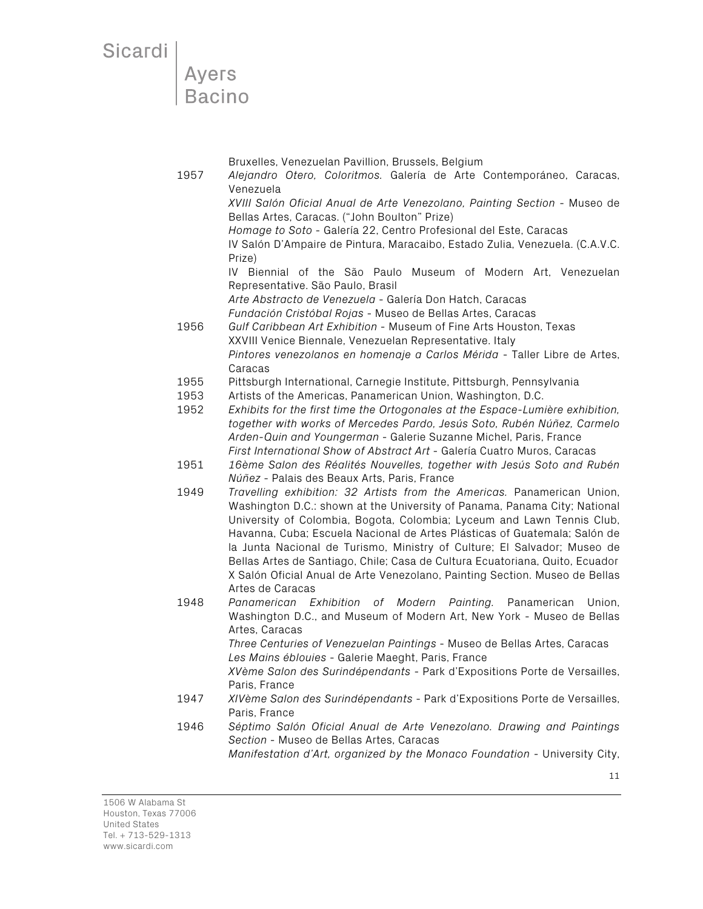**Ayers Bacino** 

Bruxelles, Venezuelan Pavillion, Brussels, Belgium

- 1957 *Alejandro Otero, Coloritmos.* Galería de Arte Contemporáneo, Caracas, Venezuela *XVIII Salón Oficial Anual de Arte Venezolano, Painting Section* - Museo de Bellas Artes, Caracas. ("John Boulton" Prize) *Homage to Soto* - Galería 22, Centro Profesional del Este, Caracas IV Salón D'Ampaire de Pintura, Maracaibo, Estado Zulia, Venezuela. (C.A.V.C. Prize) IV Biennial of the São Paulo Museum of Modern Art, Venezuelan Representative. São Paulo, Brasil *Arte Abstracto de Venezuela* - Galería Don Hatch, Caracas *Fundación Cristóbal Rojas* - Museo de Bellas Artes, Caracas 1956 *Gulf Caribbean Art Exhibition* - Museum of Fine Arts Houston, Texas XXVIII Venice Biennale, Venezuelan Representative. Italy *Pintores venezolanos en homenaje a Carlos Mérida* - Taller Libre de Artes,
	- Caracas
	- 1955 Pittsburgh International, Carnegie Institute, Pittsburgh, Pennsylvania
- 1953 Artists of the Americas, Panamerican Union, Washington, D.C.
- 1952 *Exhibits for the first time the Ortogonales at the Espace-Lumière exhibition, together with works of Mercedes Pardo, Jesús Soto, Rubén Núñez, Carmelo Arden-Quin and Youngerman* - Galerie Suzanne Michel, Paris, France *First International Show of Abstract Art* - Galería Cuatro Muros, Caracas
- 1951 *16ème Salon des Réalités Nouvelles, together with Jesús Soto and Rubén Núñez* - Palais des Beaux Arts, Paris, France
- 1949 *Travelling exhibition: 32 Artists from the Americas.* Panamerican Union, Washington D.C.: shown at the University of Panama, Panama City; National University of Colombia, Bogota, Colombia; Lyceum and Lawn Tennis Club, Havanna, Cuba; Escuela Nacional de Artes Plásticas of Guatemala; Salón de la Junta Nacional de Turismo, Ministry of Culture; El Salvador; Museo de Bellas Artes de Santiago, Chile; Casa de Cultura Ecuatoriana, Quito, Ecuador X Salón Oficial Anual de Arte Venezolano, Painting Section. Museo de Bellas Artes de Caracas
- 1948 *Panamerican Exhibition of Modern Painting.* Panamerican Union, Washington D.C., and Museum of Modern Art, New York - Museo de Bellas Artes, Caracas

*Three Centuries of Venezuelan Paintings* - Museo de Bellas Artes, Caracas *Les Mains éblouies* - Galerie Maeght, Paris, France

*XVème Salon des Surindépendants* - Park d'Expositions Porte de Versailles, Paris, France

- 1947 *XIVème Salon des Surindépendants* Park d'Expositions Porte de Versailles, Paris, France
- 1946 *Séptimo Salón Oficial Anual de Arte Venezolano. Drawing and Paintings Section* - Museo de Bellas Artes, Caracas

*Manifestation d'Art, organized by the Monaco Foundation* - University City,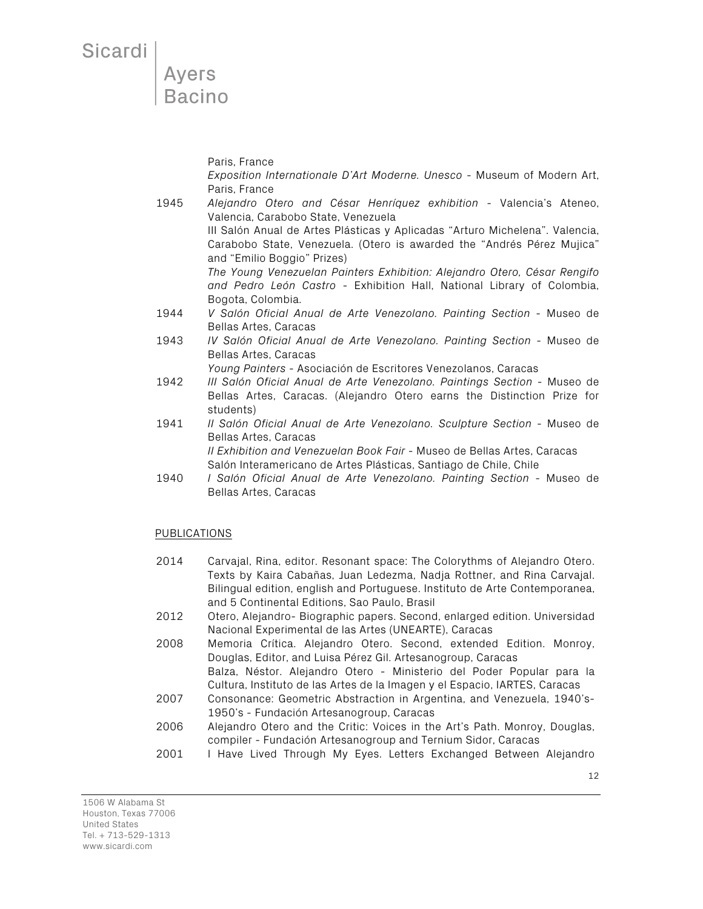Sicardi |

Paris, France

*Exposition Internationale D'Art Moderne. Unesco* - Museum of Modern Art, Paris, France

- 1945 *Alejandro Otero and César Henríquez exhibition* Valencia's Ateneo, Valencia, Carabobo State, Venezuela III Salón Anual de Artes Plásticas y Aplicadas "Arturo Michelena". Valencia, Carabobo State, Venezuela. (Otero is awarded the "Andrés Pérez Mujica" and "Emilio Boggio" Prizes) *The Young Venezuelan Painters Exhibition: Alejandro Otero, César Rengifo and Pedro León Castro* - Exhibition Hall, National Library of Colombia, Bogota, Colombia.
- 1944 *V Salón Oficial Anual de Arte Venezolano. Painting Section* Museo de Bellas Artes, Caracas
- 1943 *IV Salón Oficial Anual de Arte Venezolano. Painting Section* Museo de Bellas Artes, Caracas

*Young Painters* - Asociación de Escritores Venezolanos, Caracas

- 1942 *III Salón Oficial Anual de Arte Venezolano. Paintings Section* Museo de Bellas Artes, Caracas. (Alejandro Otero earns the Distinction Prize for students)
- 1941 *II Salón Oficial Anual de Arte Venezolano. Sculpture Section* Museo de Bellas Artes, Caracas

*II Exhibition and Venezuelan Book Fair* - Museo de Bellas Artes, Caracas Salón Interamericano de Artes Plásticas, Santiago de Chile, Chile

1940 *I Salón Oficial Anual de Arte Venezolano. Painting Section* - Museo de Bellas Artes, Caracas

### PUBLICATIONS

- 2014 Carvajal, Rina, editor. Resonant space: The Colorythms of Alejandro Otero. Texts by Kaira Cabañas, Juan Ledezma, Nadja Rottner, and Rina Carvajal. Bilingual edition, english and Portuguese. Instituto de Arte Contemporanea, and 5 Continental Editions, Sao Paulo, Brasil
- 2012 Otero, Alejandro- Biographic papers. Second, enlarged edition. Universidad Nacional Experimental de las Artes (UNEARTE), Caracas
- 2008 Memoria Crítica. Alejandro Otero. Second, extended Edition. Monroy, Douglas, Editor, and Luisa Pérez Gil. Artesanogroup, Caracas

Balza, Néstor. Alejandro Otero - Ministerio del Poder Popular para la Cultura, Instituto de las Artes de la Imagen y el Espacio, IARTES, Caracas

- 2007 Consonance: Geometric Abstraction in Argentina, and Venezuela, 1940's-1950's - Fundación Artesanogroup, Caracas
- 2006 Alejandro Otero and the Critic: Voices in the Art's Path. Monroy, Douglas, compiler - Fundación Artesanogroup and Ternium Sidor, Caracas
- 2001 I Have Lived Through My Eyes. Letters Exchanged Between Alejandro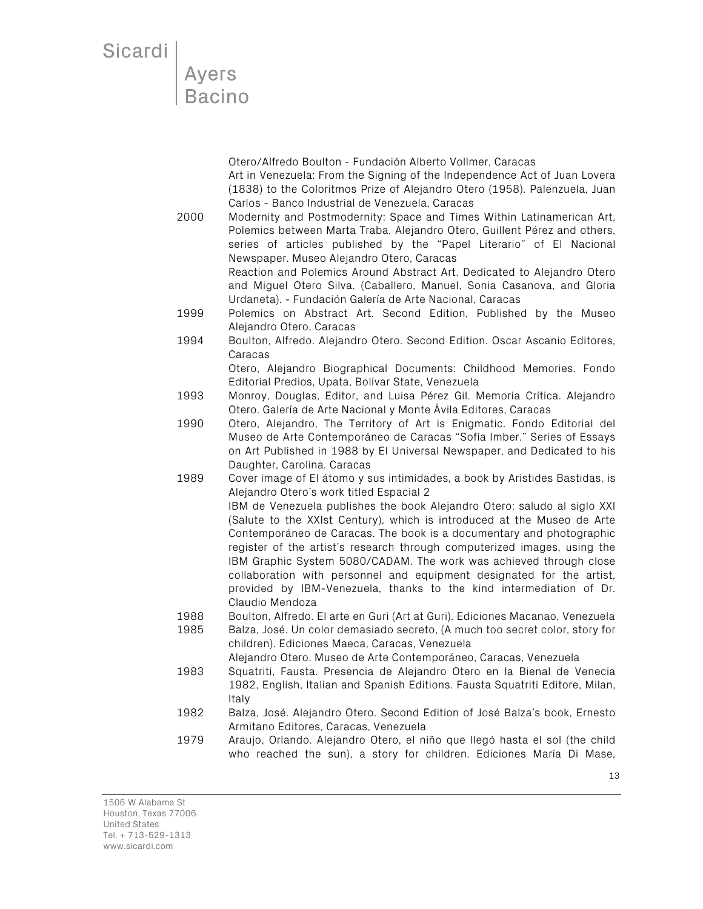# Ayers<br>Bacino

Otero/Alfredo Boulton - Fundación Alberto Vollmer, Caracas Art in Venezuela: From the Signing of the Independence Act of Juan Lovera (1838) to the Coloritmos Prize of Alejandro Otero (1958). Palenzuela, Juan Carlos - Banco Industrial de Venezuela, Caracas

2000 Modernity and Postmodernity: Space and Times Within Latinamerican Art, Polemics between Marta Traba, Alejandro Otero, Guillent Pérez and others, series of articles published by the "Papel Literario" of El Nacional Newspaper. Museo Alejandro Otero, Caracas

Reaction and Polemics Around Abstract Art. Dedicated to Alejandro Otero and Miguel Otero Silva. (Caballero, Manuel, Sonia Casanova, and Gloria Urdaneta). - Fundación Galería de Arte Nacional, Caracas

- 1999 Polemics on Abstract Art. Second Edition, Published by the Museo Alejandro Otero, Caracas
- 1994 Boulton, Alfredo. Alejandro Otero. Second Edition. Oscar Ascanio Editores, Caracas

Otero, Alejandro Biographical Documents: Childhood Memories. Fondo Editorial Predios, Upata, Bolívar State, Venezuela

- 1993 Monroy, Douglas, Editor, and Luisa Pérez Gil. Memoria Crítica. Alejandro Otero. Galería de Arte Nacional y Monte Ávila Editores, Caracas
- 1990 Otero, Alejandro, The Territory of Art is Enigmatic. Fondo Editorial del Museo de Arte Contemporáneo de Caracas "Sofía Imber." Series of Essays on Art Published in 1988 by El Universal Newspaper, and Dedicated to his Daughter, Carolina. Caracas
- 1989 Cover image of El átomo y sus intimidades, a book by Aristides Bastidas, is Alejandro Otero's work titled Espacial 2

IBM de Venezuela publishes the book Alejandro Otero: saludo al siglo XXI (Salute to the XXIst Century), which is introduced at the Museo de Arte Contemporáneo de Caracas. The book is a documentary and photographic register of the artist's research through computerized images, using the IBM Graphic System 5080/CADAM. The work was achieved through close collaboration with personnel and equipment designated for the artist, provided by IBM-Venezuela, thanks to the kind intermediation of Dr. Claudio Mendoza

- 1988 Boulton, Alfredo. El arte en Guri (Art at Guri). Ediciones Macanao, Venezuela
- 1985 Balza, José. Un color demasiado secreto, (A much too secret color, story for children). Ediciones Maeca, Caracas, Venezuela

Alejandro Otero. Museo de Arte Contemporáneo, Caracas, Venezuela

- 1983 Squatriti, Fausta. Presencia de Alejandro Otero en la Bienal de Venecia 1982, English, Italian and Spanish Editions. Fausta Squatriti Editore, Milan, Italy
- 1982 Balza, José. Alejandro Otero. Second Edition of José Balza's book, Ernesto Armitano Editores, Caracas, Venezuela
- 1979 Araujo, Orlando. Alejandro Otero, el niño que llegó hasta el sol (the child who reached the sun), a story for children. Ediciones María Di Mase,